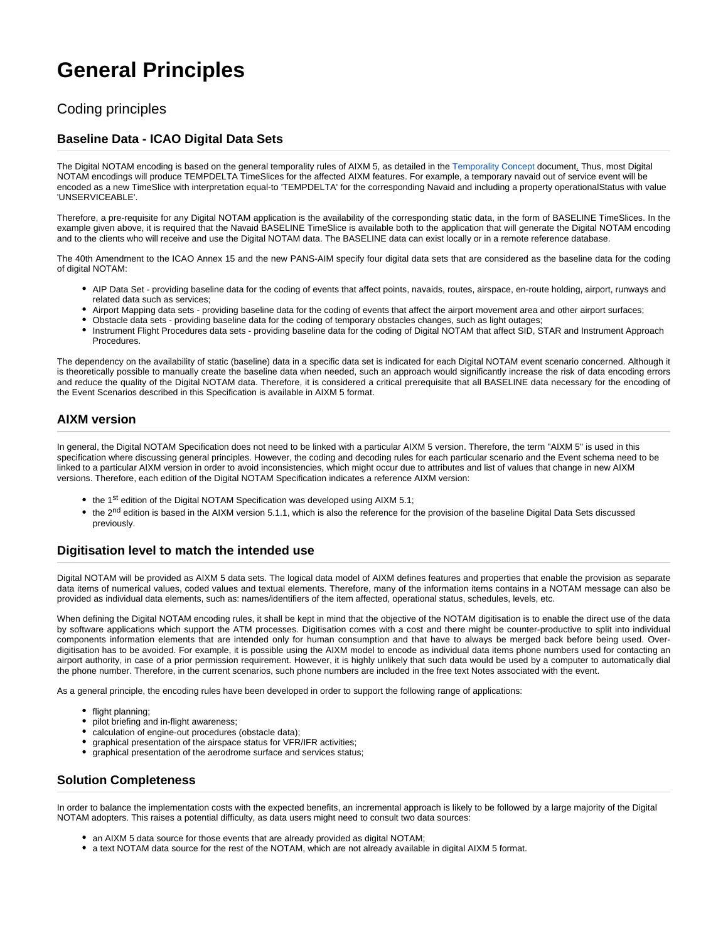# **General Principles**

## Coding principles

#### **Baseline Data - ICAO Digital Data Sets**

The Digital NOTAM encoding is based on the general temporality rules of AIXM 5, as detailed in the [Temporality Concept](http://aixm.aero/sites/aixm.aero/files/imce/AIXM511/aixm_temporality_1.1.pdf) document. Thus, most Digital NOTAM encodings will produce TEMPDELTA TimeSlices for the affected AIXM features. For example, a temporary navaid out of service event will be encoded as a new TimeSlice with interpretation equal-to 'TEMPDELTA' for the corresponding Navaid and including a property operationalStatus with value 'UNSERVICEABLE'.

Therefore, a pre-requisite for any Digital NOTAM application is the availability of the corresponding static data, in the form of BASELINE TimeSlices. In the example given above, it is required that the Navaid BASELINE TimeSlice is available both to the application that will generate the Digital NOTAM encoding and to the clients who will receive and use the Digital NOTAM data. The BASELINE data can exist locally or in a remote reference database.

The 40th Amendment to the ICAO Annex 15 and the new PANS-AIM specify four digital data sets that are considered as the baseline data for the coding of digital NOTAM:

- AIP Data Set providing baseline data for the coding of events that affect points, navaids, routes, airspace, en-route holding, airport, runways and related data such as services;
- Airport Mapping data sets providing baseline data for the coding of events that affect the airport movement area and other airport surfaces;
- Obstacle data sets providing baseline data for the coding of temporary obstacles changes, such as light outages;
- Instrument Flight Procedures data sets providing baseline data for the coding of Digital NOTAM that affect SID, STAR and Instrument Approach Procedures.

The dependency on the availability of static (baseline) data in a specific data set is indicated for each Digital NOTAM event scenario concerned. Although it is theoretically possible to manually create the baseline data when needed, such an approach would significantly increase the risk of data encoding errors and reduce the quality of the Digital NOTAM data. Therefore, it is considered a critical prerequisite that all BASELINE data necessary for the encoding of the Event Scenarios described in this Specification is available in AIXM 5 format.

#### **AIXM version**

In general, the Digital NOTAM Specification does not need to be linked with a particular AIXM 5 version. Therefore, the term "AIXM 5" is used in this specification where discussing general principles. However, the coding and decoding rules for each particular scenario and the Event schema need to be linked to a particular AIXM version in order to avoid inconsistencies, which might occur due to attributes and list of values that change in new AIXM versions. Therefore, each edition of the Digital NOTAM Specification indicates a reference AIXM version:

- $\bullet$  the 1<sup>st</sup> edition of the Digital NOTAM Specification was developed using AIXM 5.1;
- the 2<sup>nd</sup> edition is based in the AIXM version 5.1.1, which is also the reference for the provision of the baseline Digital Data Sets discussed previously.

#### **Digitisation level to match the intended use**

Digital NOTAM will be provided as AIXM 5 data sets. The logical data model of AIXM defines features and properties that enable the provision as separate data items of numerical values, coded values and textual elements. Therefore, many of the information items contains in a NOTAM message can also be provided as individual data elements, such as: names/identifiers of the item affected, operational status, schedules, levels, etc.

When defining the Digital NOTAM encoding rules, it shall be kept in mind that the objective of the NOTAM digitisation is to enable the direct use of the data by software applications which support the ATM processes. Digitisation comes with a cost and there might be counter-productive to split into individual components information elements that are intended only for human consumption and that have to always be merged back before being used. Overdigitisation has to be avoided. For example, it is possible using the AIXM model to encode as individual data items phone numbers used for contacting an airport authority, in case of a prior permission requirement. However, it is highly unlikely that such data would be used by a computer to automatically dial the phone number. Therefore, in the current scenarios, such phone numbers are included in the free text Notes associated with the event.

As a general principle, the encoding rules have been developed in order to support the following range of applications:

- flight planning;
- pilot briefing and in-flight awareness;
- calculation of engine-out procedures (obstacle data);
- graphical presentation of the airspace status for VFR/IFR activities;
- graphical presentation of the aerodrome surface and services status;

#### **Solution Completeness**

In order to balance the implementation costs with the expected benefits, an incremental approach is likely to be followed by a large majority of the Digital NOTAM adopters. This raises a potential difficulty, as data users might need to consult two data sources:

- $\bullet$  an AIXM 5 data source for those events that are already provided as digital NOTAM;
- a text NOTAM data source for the rest of the NOTAM, which are not already available in digital AIXM 5 format.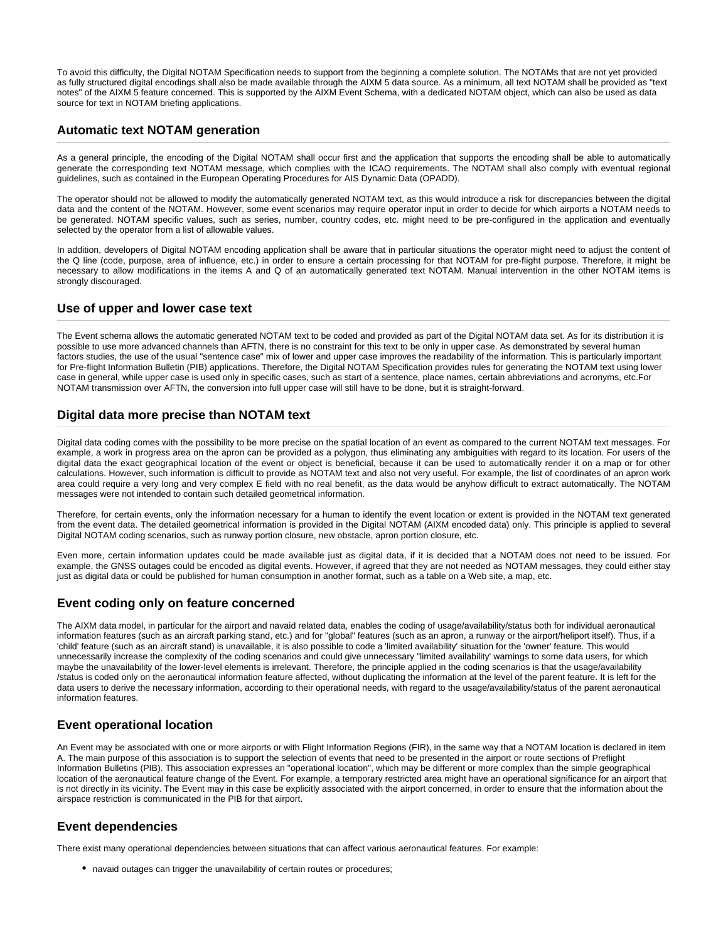To avoid this difficulty, the Digital NOTAM Specification needs to support from the beginning a complete solution. The NOTAMs that are not yet provided as fully structured digital encodings shall also be made available through the AIXM 5 data source. As a minimum, all text NOTAM shall be provided as "text notes" of the AIXM 5 feature concerned. This is supported by the AIXM Event Schema, with a dedicated NOTAM object, which can also be used as data source for text in NOTAM briefing applications.

#### **Automatic text NOTAM generation**

As a general principle, the encoding of the Digital NOTAM shall occur first and the application that supports the encoding shall be able to automatically generate the corresponding text NOTAM message, which complies with the ICAO requirements. The NOTAM shall also comply with eventual regional guidelines, such as contained in the European Operating Procedures for AIS Dynamic Data (OPADD).

The operator should not be allowed to modify the automatically generated NOTAM text, as this would introduce a risk for discrepancies between the digital data and the content of the NOTAM. However, some event scenarios may require operator input in order to decide for which airports a NOTAM needs to be generated. NOTAM specific values, such as series, number, country codes, etc. might need to be pre-configured in the application and eventually selected by the operator from a list of allowable values.

In addition, developers of Digital NOTAM encoding application shall be aware that in particular situations the operator might need to adjust the content of the Q line (code, purpose, area of influence, etc.) in order to ensure a certain processing for that NOTAM for pre-flight purpose. Therefore, it might be necessary to allow modifications in the items A and Q of an automatically generated text NOTAM. Manual intervention in the other NOTAM items is strongly discouraged.

#### **Use of upper and lower case text**

The Event schema allows the automatic generated NOTAM text to be coded and provided as part of the Digital NOTAM data set. As for its distribution it is possible to use more advanced channels than AFTN, there is no constraint for this text to be only in upper case. As demonstrated by several human factors studies, the use of the usual "sentence case" mix of lower and upper case improves the readability of the information. This is particularly important for Pre-flight Information Bulletin (PIB) applications. Therefore, the Digital NOTAM Specification provides rules for generating the NOTAM text using lower case in general, while upper case is used only in specific cases, such as start of a sentence, place names, certain abbreviations and acronyms, etc.For NOTAM transmission over AFTN, the conversion into full upper case will still have to be done, but it is straight-forward.

#### **Digital data more precise than NOTAM text**

Digital data coding comes with the possibility to be more precise on the spatial location of an event as compared to the current NOTAM text messages. For example, a work in progress area on the apron can be provided as a polygon, thus eliminating any ambiguities with regard to its location. For users of the digital data the exact geographical location of the event or object is beneficial, because it can be used to automatically render it on a map or for other calculations. However, such information is difficult to provide as NOTAM text and also not very useful. For example, the list of coordinates of an apron work area could require a very long and very complex E field with no real benefit, as the data would be anyhow difficult to extract automatically. The NOTAM messages were not intended to contain such detailed geometrical information.

Therefore, for certain events, only the information necessary for a human to identify the event location or extent is provided in the NOTAM text generated from the event data. The detailed geometrical information is provided in the Digital NOTAM (AIXM encoded data) only. This principle is applied to several Digital NOTAM coding scenarios, such as runway portion closure, new obstacle, apron portion closure, etc.

Even more, certain information updates could be made available just as digital data, if it is decided that a NOTAM does not need to be issued. For example, the GNSS outages could be encoded as digital events. However, if agreed that they are not needed as NOTAM messages, they could either stay just as digital data or could be published for human consumption in another format, such as a table on a Web site, a map, etc.

#### **Event coding only on feature concerned**

The AIXM data model, in particular for the airport and navaid related data, enables the coding of usage/availability/status both for individual aeronautical information features (such as an aircraft parking stand, etc.) and for "global" features (such as an apron, a runway or the airport/heliport itself). Thus, if a 'child' feature (such as an aircraft stand) is unavailable, it is also possible to code a 'limited availability' situation for the 'owner' feature. This would unnecessarily increase the complexity of the coding scenarios and could give unnecessary "limited availability' warnings to some data users, for which maybe the unavailability of the lower-level elements is irrelevant. Therefore, the principle applied in the coding scenarios is that the usage/availability /status is coded only on the aeronautical information feature affected, without duplicating the information at the level of the parent feature. It is left for the data users to derive the necessary information, according to their operational needs, with regard to the usage/availability/status of the parent aeronautical information features.

### **Event operational location**

An Event may be associated with one or more airports or with Flight Information Regions (FIR), in the same way that a NOTAM location is declared in item A. The main purpose of this association is to support the selection of events that need to be presented in the airport or route sections of Preflight Information Bulletins (PIB). This association expresses an "operational location", which may be different or more complex than the simple geographical location of the aeronautical feature change of the Event. For example, a temporary restricted area might have an operational significance for an airport that is not directly in its vicinity. The Event may in this case be explicitly associated with the airport concerned, in order to ensure that the information about the airspace restriction is communicated in the PIB for that airport.

### **Event dependencies**

There exist many operational dependencies between situations that can affect various aeronautical features. For example:

• navaid outages can trigger the unavailability of certain routes or procedures;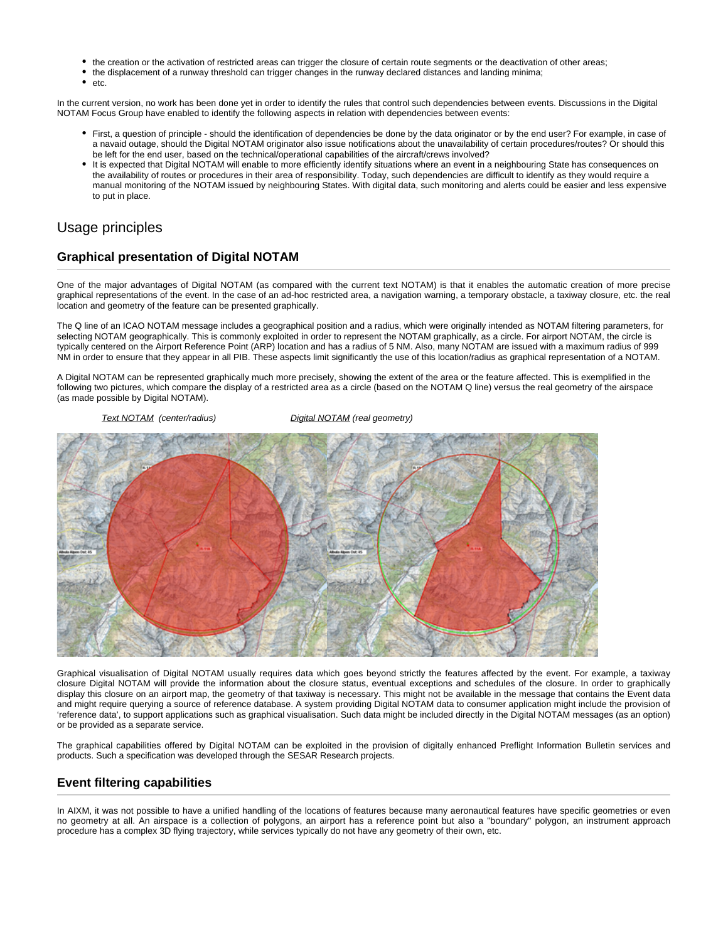- the creation or the activation of restricted areas can trigger the closure of certain route segments or the deactivation of other areas;
- the displacement of a runway threshold can trigger changes in the runway declared distances and landing minima;
- $\bullet$ etc.

In the current version, no work has been done yet in order to identify the rules that control such dependencies between events. Discussions in the Digital NOTAM Focus Group have enabled to identify the following aspects in relation with dependencies between events:

- First, a question of principle should the identification of dependencies be done by the data originator or by the end user? For example, in case of a navaid outage, should the Digital NOTAM originator also issue notifications about the unavailability of certain procedures/routes? Or should this be left for the end user, based on the technical/operational capabilities of the aircraft/crews involved?
- It is expected that Digital NOTAM will enable to more efficiently identify situations where an event in a neighbouring State has consequences on the availability of routes or procedures in their area of responsibility. Today, such dependencies are difficult to identify as they would require a manual monitoring of the NOTAM issued by neighbouring States. With digital data, such monitoring and alerts could be easier and less expensive to put in place.

## Usage principles

### **Graphical presentation of Digital NOTAM**

One of the major advantages of Digital NOTAM (as compared with the current text NOTAM) is that it enables the automatic creation of more precise graphical representations of the event. In the case of an ad-hoc restricted area, a navigation warning, a temporary obstacle, a taxiway closure, etc. the real location and geometry of the feature can be presented graphically.

The Q line of an ICAO NOTAM message includes a geographical position and a radius, which were originally intended as NOTAM filtering parameters, for selecting NOTAM geographically. This is commonly exploited in order to represent the NOTAM graphically, as a circle. For airport NOTAM, the circle is typically centered on the Airport Reference Point (ARP) location and has a radius of 5 NM. Also, many NOTAM are issued with a maximum radius of 999 NM in order to ensure that they appear in all PIB. These aspects limit significantly the use of this location/radius as graphical representation of a NOTAM.

A Digital NOTAM can be represented graphically much more precisely, showing the extent of the area or the feature affected. This is exemplified in the following two pictures, which compare the display of a restricted area as a circle (based on the NOTAM Q line) versus the real geometry of the airspace (as made possible by Digital NOTAM).



Graphical visualisation of Digital NOTAM usually requires data which goes beyond strictly the features affected by the event. For example, a taxiway closure Digital NOTAM will provide the information about the closure status, eventual exceptions and schedules of the closure. In order to graphically display this closure on an airport map, the geometry of that taxiway is necessary. This might not be available in the message that contains the Event data and might require querying a source of reference database. A system providing Digital NOTAM data to consumer application might include the provision of 'reference data', to support applications such as graphical visualisation. Such data might be included directly in the Digital NOTAM messages (as an option) or be provided as a separate service.

The graphical capabilities offered by Digital NOTAM can be exploited in the provision of digitally enhanced Preflight Information Bulletin services and products. Such a specification was developed through the SESAR Research projects.

### **Event filtering capabilities**

In AIXM, it was not possible to have a unified handling of the locations of features because many aeronautical features have specific geometries or even no geometry at all. An airspace is a collection of polygons, an airport has a reference point but also a "boundary" polygon, an instrument approach procedure has a complex 3D flying trajectory, while services typically do not have any geometry of their own, etc.